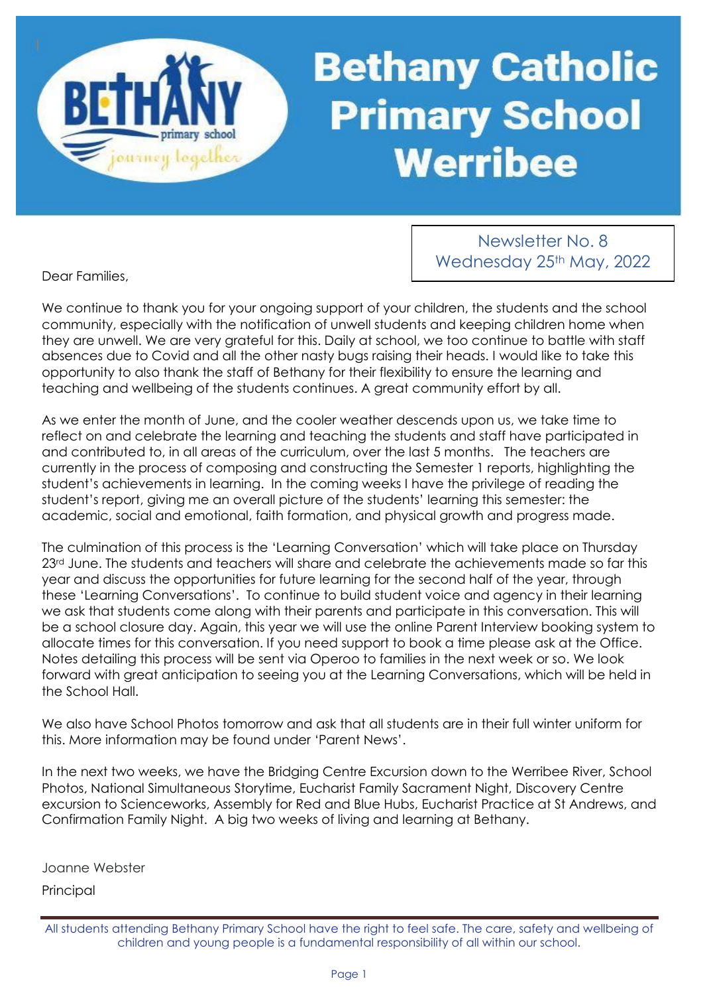# **Bethany Catholic Primary School Werribee**

Dear Families,

ourney logethe

Newsletter No. 8 Wednesday 25th May, 2022

We continue to thank you for your ongoing support of your children, the students and the school community, especially with the notification of unwell students and keeping children home when they are unwell. We are very grateful for this. Daily at school, we too continue to battle with staff absences due to Covid and all the other nasty bugs raising their heads. I would like to take this opportunity to also thank the staff of Bethany for their flexibility to ensure the learning and teaching and wellbeing of the students continues. A great community effort by all.

As we enter the month of June, and the cooler weather descends upon us, we take time to reflect on and celebrate the learning and teaching the students and staff have participated in and contributed to, in all areas of the curriculum, over the last 5 months. The teachers are currently in the process of composing and constructing the Semester 1 reports, highlighting the student's achievements in learning. In the coming weeks I have the privilege of reading the student's report, giving me an overall picture of the students' learning this semester: the academic, social and emotional, faith formation, and physical growth and progress made.

The culmination of this process is the 'Learning Conversation' which will take place on Thursday 23<sup>rd</sup> June. The students and teachers will share and celebrate the achievements made so far this year and discuss the opportunities for future learning for the second half of the year, through these 'Learning Conversations'. To continue to build student voice and agency in their learning we ask that students come along with their parents and participate in this conversation. This will be a school closure day. Again, this year we will use the online Parent Interview booking system to allocate times for this conversation. If you need support to book a time please ask at the Office. Notes detailing this process will be sent via Operoo to families in the next week or so. We look forward with great anticipation to seeing you at the Learning Conversations, which will be held in the School Hall.

We also have School Photos tomorrow and ask that all students are in their full winter uniform for this. More information may be found under 'Parent News'.

In the next two weeks, we have the Bridging Centre Excursion down to the Werribee River, School Photos, National Simultaneous Storytime, Eucharist Family Sacrament Night, Discovery Centre excursion to Scienceworks, Assembly for Red and Blue Hubs, Eucharist Practice at St Andrews, and Confirmation Family Night. A big two weeks of living and learning at Bethany.

Joanne Webster

Principal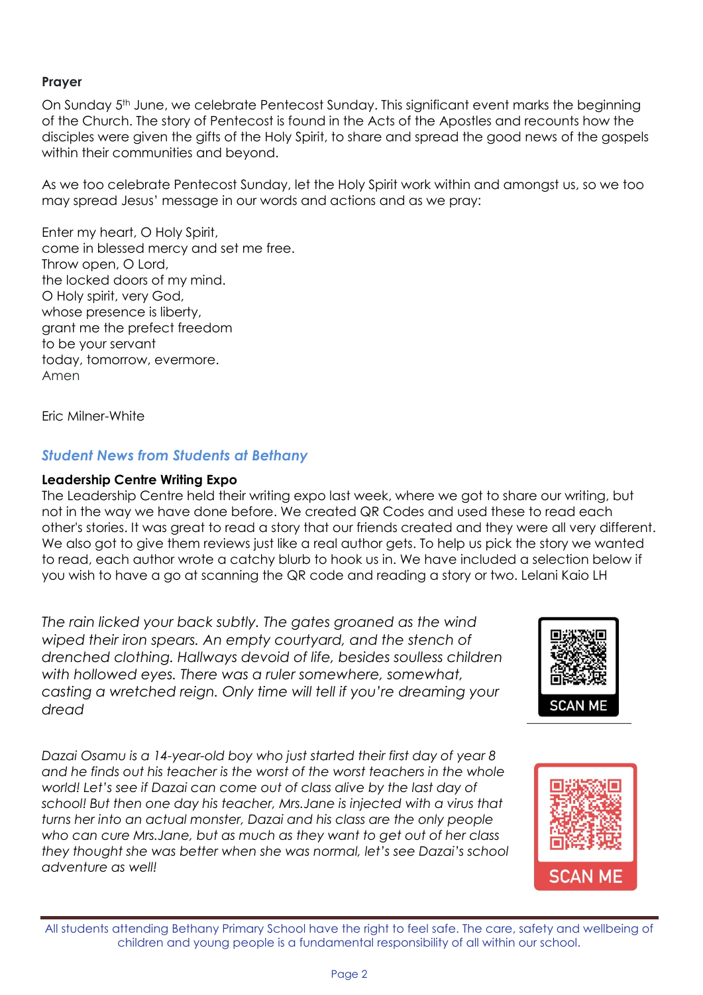#### **Prayer**

On Sunday 5th June, we celebrate Pentecost Sunday. This significant event marks the beginning of the Church. The story of Pentecost is found in the Acts of the Apostles and recounts how the disciples were given the gifts of the Holy Spirit, to share and spread the good news of the gospels within their communities and beyond.

As we too celebrate Pentecost Sunday, let the Holy Spirit work within and amongst us, so we too may spread Jesus' message in our words and actions and as we pray:

Enter my heart, O Holy Spirit, come in blessed mercy and set me free. Throw open, O Lord, the locked doors of my mind. O Holy spirit, very God, whose presence is liberty, grant me the prefect freedom to be your servant today, tomorrow, evermore. Amen

Eric Milner-White

# *Student News from Students at Bethany*

#### **Leadership Centre Writing Expo**

The Leadership Centre held their writing expo last week, where we got to share our writing, but not in the way we have done before. We created QR Codes and used these to read each other's stories. It was great to read a story that our friends created and they were all very different. We also got to give them reviews just like a real author gets. To help us pick the story we wanted to read, each author wrote a catchy blurb to hook us in. We have included a selection below if you wish to have a go at scanning the QR code and reading a story or two. Lelani Kaio LH

*The rain licked your back subtly. The gates groaned as the wind wiped their iron spears. An empty courtyard, and the stench of drenched clothing. Hallways devoid of life, besides soulless children with hollowed eyes. There was a ruler somewhere, somewhat, casting a wretched reign. Only time will tell if you're dreaming your dread* 

*Dazai Osamu is a 14-year-old boy who just started their first day of year 8*  and he finds out his teacher is the worst of the worst teachers in the whole *world! Let's see if Dazai can come out of class alive by the last day of school! But then one day his teacher, Mrs.Jane is injected with a virus that turns her into an actual monster, Dazai and his class are the only people who can cure Mrs.Jane, but as much as they want to get out of her class they thought she was better when she was normal, let's see Dazai's school adventure as well!*



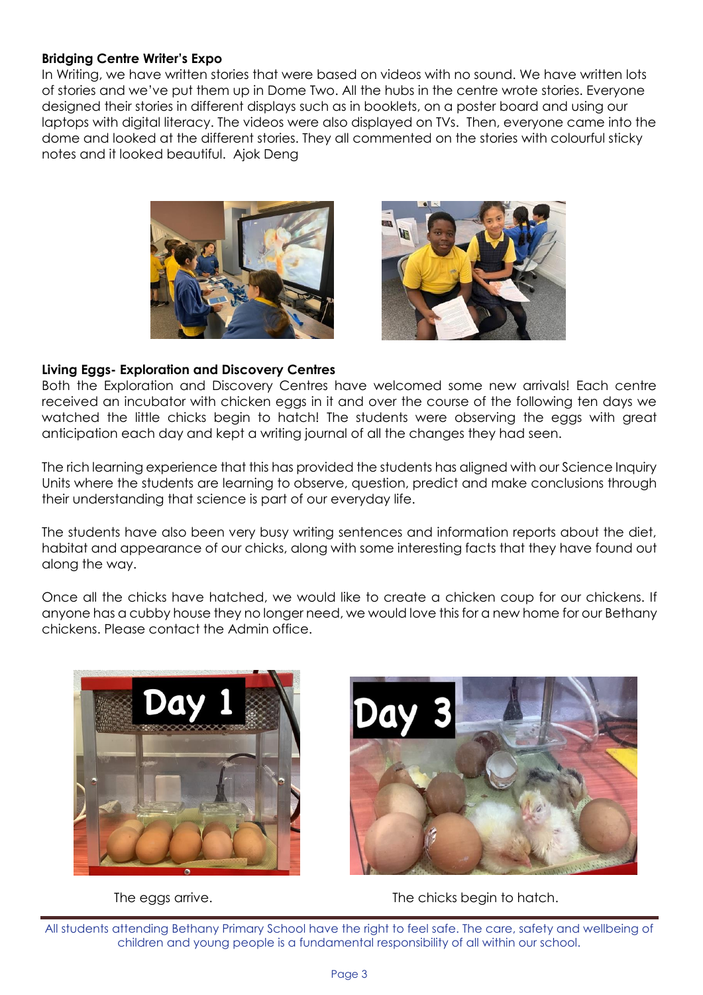#### **Bridging Centre Writer's Expo**

In Writing, we have written stories that were based on videos with no sound. We have written lots of stories and we've put them up in Dome Two. All the hubs in the centre wrote stories. Everyone designed their stories in different displays such as in booklets, on a poster board and using our laptops with digital literacy. The videos were also displayed on TVs. Then, everyone came into the dome and looked at the different stories. They all commented on the stories with colourful sticky notes and it looked beautiful. Ajok Deng



![](_page_2_Picture_3.jpeg)

#### **Living Eggs- Exploration and Discovery Centres**

Both the Exploration and Discovery Centres have welcomed some new arrivals! Each centre received an incubator with chicken eggs in it and over the course of the following ten days we watched the little chicks begin to hatch! The students were observing the eggs with great anticipation each day and kept a writing journal of all the changes they had seen.

The rich learning experience that this has provided the students has aligned with our Science Inquiry Units where the students are learning to observe, question, predict and make conclusions through their understanding that science is part of our everyday life.

The students have also been very busy writing sentences and information reports about the diet, habitat and appearance of our chicks, along with some interesting facts that they have found out along the way.

Once all the chicks have hatched, we would like to create a chicken coup for our chickens. If anyone has a cubby house they no longer need, we would love this for a new home for our Bethany chickens. Please contact the Admin office.

![](_page_2_Picture_9.jpeg)

![](_page_2_Picture_11.jpeg)

The eggs arrive. The chicks begin to hatch.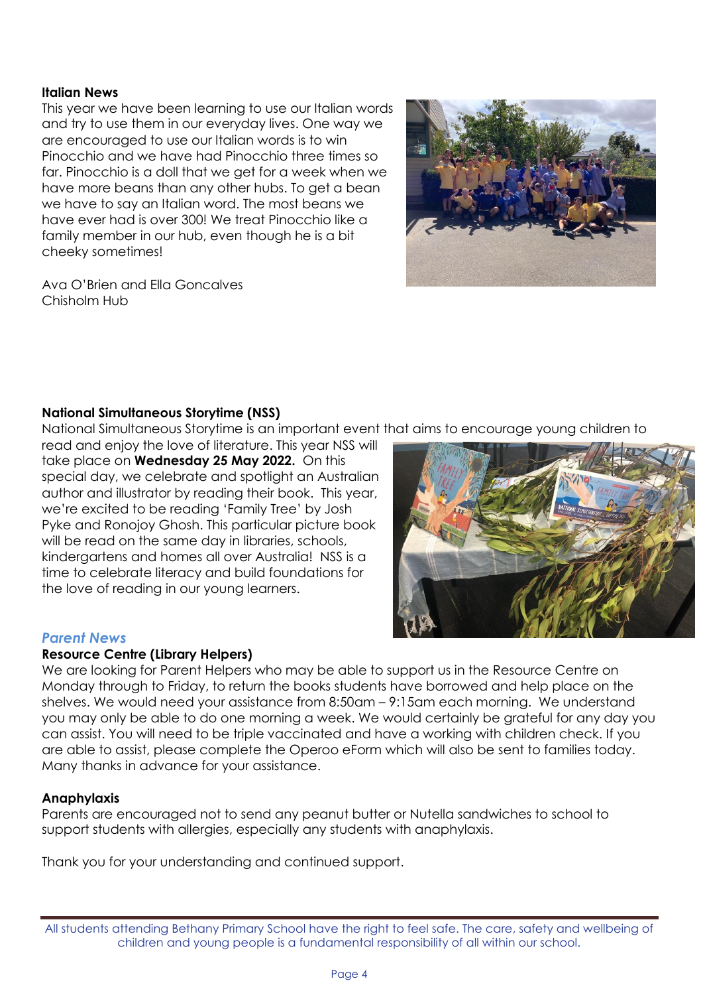#### **Italian News**

This year we have been learning to use our Italian words and try to use them in our everyday lives. One way we are encouraged to use our Italian words is to win Pinocchio and we have had Pinocchio three times so far. Pinocchio is a doll that we get for a week when we have more beans than any other hubs. To get a bean we have to say an Italian word. The most beans we have ever had is over 300! We treat Pinocchio like a family member in our hub, even though he is a bit cheeky sometimes!

![](_page_3_Picture_2.jpeg)

Ava O'Brien and Ella Goncalves Chisholm Hub

## **National Simultaneous Storytime (NSS)**

National Simultaneous Storytime is an important event that aims to encourage young children to

read and enjoy the love of literature. This year NSS will take place on **Wednesday 25 May 2022.** On this special day, we celebrate and spotlight an Australian author and illustrator by reading their book. This year, we're excited to be reading 'Family Tree' by Josh Pyke and Ronojoy Ghosh. This particular picture book will be read on the same day in libraries, schools, kindergartens and homes all over Australia! NSS is a time to celebrate literacy and build foundations for the love of reading in our young learners.

![](_page_3_Figure_7.jpeg)

## *Parent News*

#### **Resource Centre (Library Helpers)**

We are looking for Parent Helpers who may be able to support us in the Resource Centre on Monday through to Friday, to return the books students have borrowed and help place on the shelves. We would need your assistance from 8:50am – 9:15am each morning. We understand you may only be able to do one morning a week. We would certainly be grateful for any day you can assist. You will need to be triple vaccinated and have a working with children check. If you are able to assist, please complete the Operoo eForm which will also be sent to families today. Many thanks in advance for your assistance.

## **Anaphylaxis**

Parents are encouraged not to send any peanut butter or Nutella sandwiches to school to support students with allergies, especially any students with anaphylaxis.

Thank you for your understanding and continued support.

All students attending Bethany Primary School have the right to feel safe. The care, safety and wellbeing of children and young people is a fundamental responsibility of all within our school.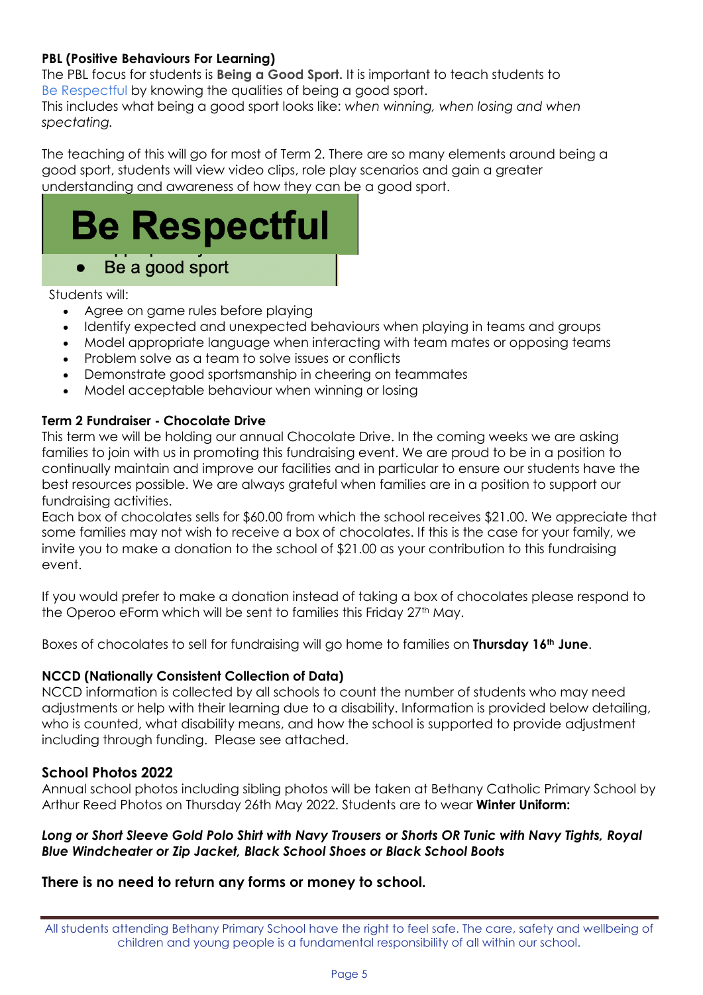# **PBL (Positive Behaviours For Learning)**

The PBL focus for students is **Being a Good Sport.** It is important to teach students to Be Respectful by knowing the qualities of being a good sport.

This includes what being a good sport looks like: *when winning, when losing and when spectating.*

The teaching of this will go for most of Term 2. There are so many elements around being a good sport, students will view video clips, role play scenarios and gain a greater understanding and awareness of how they can be a good sport.

![](_page_4_Picture_4.jpeg)

Students will:

- Agree on game rules before playing
- Identify expected and unexpected behaviours when playing in teams and groups
- Model appropriate language when interacting with team mates or opposing teams
- Problem solve as a team to solve issues or conflicts
- Demonstrate good sportsmanship in cheering on teammates
- Model acceptable behaviour when winning or losing

## **Term 2 Fundraiser - Chocolate Drive**

This term we will be holding our annual Chocolate Drive. In the coming weeks we are asking families to join with us in promoting this fundraising event. We are proud to be in a position to continually maintain and improve our facilities and in particular to ensure our students have the best resources possible. We are always grateful when families are in a position to support our fundraising activities.

Each box of chocolates sells for \$60.00 from which the school receives \$21.00. We appreciate that some families may not wish to receive a box of chocolates. If this is the case for your family, we invite you to make a donation to the school of \$21.00 as your contribution to this fundraising event.

If you would prefer to make a donation instead of taking a box of chocolates please respond to the Operoo eForm which will be sent to families this Friday 27<sup>th</sup> May.

Boxes of chocolates to sell for fundraising will go home to families on **Thursday 16th June**.

## **NCCD (Nationally Consistent Collection of Data)**

NCCD information is collected by all schools to count the number of students who may need adjustments or help with their learning due to a disability. Information is provided below detailing, who is counted, what disability means, and how the school is supported to provide adjustment including through funding. Please see attached.

## **School Photos 2022**

Annual school photos including sibling photos will be taken at Bethany Catholic Primary School by Arthur Reed Photos on Thursday 26th May 2022. Students are to wear **Winter Uniform:**

## *Long or Short Sleeve Gold Polo Shirt with Navy Trousers or Shorts OR Tunic with Navy Tights, Royal Blue Windcheater or Zip Jacket, Black School Shoes or Black School Boots*

## **There is no need to return any forms or money to school.**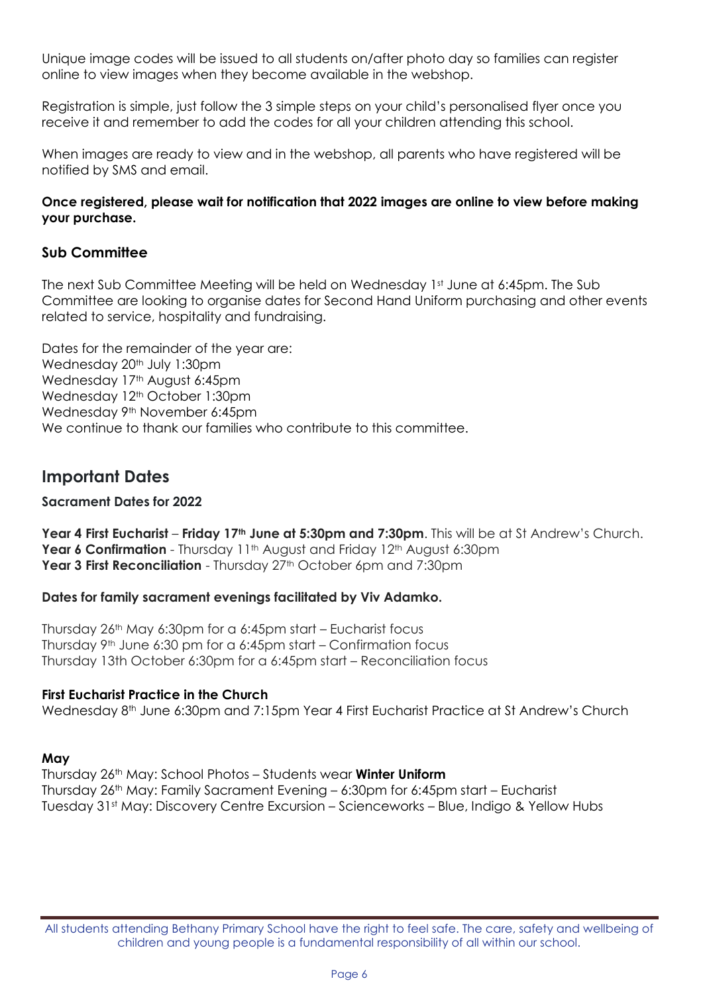Unique image codes will be issued to all students on/after photo day so families can register online to view images when they become available in the webshop.

Registration is simple, just follow the 3 simple steps on your child's personalised flyer once you receive it and remember to add the codes for all your children attending this school.

When images are ready to view and in the webshop, all parents who have registered will be notified by SMS and email.

#### **Once registered, please wait for notification that 2022 images are online to view before making your purchase.**

# **Sub Committee**

The next Sub Committee Meeting will be held on Wednesday 1st June at 6:45pm. The Sub Committee are looking to organise dates for Second Hand Uniform purchasing and other events related to service, hospitality and fundraising.

Dates for the remainder of the year are: Wednesday 20<sup>th</sup> July 1:30pm Wednesday 17<sup>th</sup> August 6:45pm Wednesday 12<sup>th</sup> October 1:30pm Wednesday 9<sup>th</sup> November 6:45pm We continue to thank our families who contribute to this committee.

# **Important Dates**

#### **Sacrament Dates for 2022**

**Year 4 First Eucharist** – **Friday 17th June at 5:30pm and 7:30pm**. This will be at St Andrew's Church. **Year 6 Confirmation** - Thursday 11<sup>th</sup> August and Friday 12<sup>th</sup> August 6:30pm Year 3 First Reconciliation - Thursday 27<sup>th</sup> October 6pm and 7:30pm

## **Dates for family sacrament evenings facilitated by Viv Adamko.**

Thursday 26th May 6:30pm for a 6:45pm start – Eucharist focus Thursday  $9<sup>th</sup>$  June 6:30 pm for a 6:45pm start – Confirmation focus Thursday 13th October 6:30pm for a 6:45pm start – Reconciliation focus

#### **First Eucharist Practice in the Church**

Wednesday 8<sup>th</sup> June 6:30pm and 7:15pm Year 4 First Eucharist Practice at St Andrew's Church

#### **May**

Thursday 26th May: School Photos – Students wear **Winter Uniform** Thursday 26th May: Family Sacrament Evening – 6:30pm for 6:45pm start – Eucharist Tuesday 31st May: Discovery Centre Excursion – Scienceworks – Blue, Indigo & Yellow Hubs